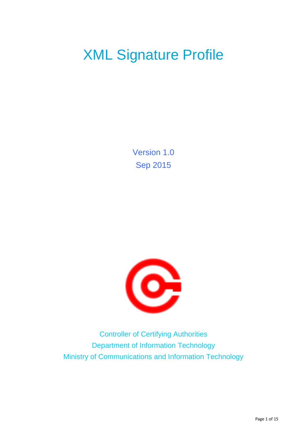# XML Signature Profile

Version 1.0 Sep 2015



Controller of Certifying Authorities Department of Information Technology Ministry of Communications and Information Technology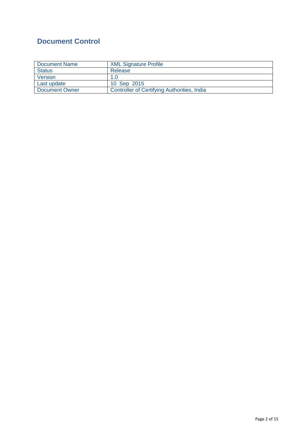# <span id="page-1-0"></span>**Document Control**

| Document Name         | <b>XML Signature Profile</b>                |
|-----------------------|---------------------------------------------|
| <b>Status</b>         | Release                                     |
| Version               | 1.0                                         |
| Last update           | 10 Sep 2015                                 |
| <b>Document Owner</b> | Controller of Certifying Authorities, India |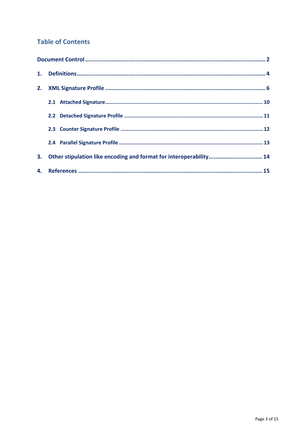## **Table of Contents**

| 2. |                                                                    |  |  |  |
|----|--------------------------------------------------------------------|--|--|--|
|    |                                                                    |  |  |  |
|    |                                                                    |  |  |  |
|    |                                                                    |  |  |  |
|    |                                                                    |  |  |  |
| 3. | Other stipulation like encoding and format for interoperability 14 |  |  |  |
|    |                                                                    |  |  |  |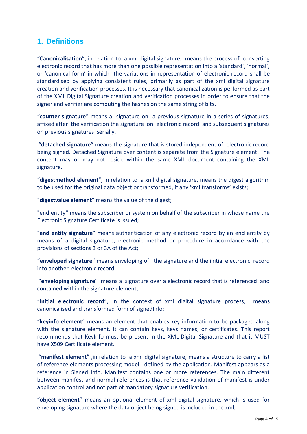## <span id="page-3-0"></span>**1. Definitions**

"**Canonicalisation**", in relation to a xml digital signature, means the process of converting electronic record that has more than one possible representation into a 'standard', 'normal', or 'canonical form' in which the variations in representation of electronic record shall be standardised by applying consistent rules, primarily as part of the xml digital signature creation and verification processes. It is necessary that canonicalization is performed as part of the XML Digital Signature creation and verification processes in order to ensure that the signer and verifier are computing the hashes on the same string of bits.

"**counter signature**" means a signature on a previous signature in a series of signatures, affixed after the verification the signature on electronic record and subsequent signatures on previous signatures serially.

"**detached signature**" means the signature that is stored independent of electronic record being signed. Detached Signature over content is separate from the Signature element. The content may or may not reside within the same XML document containing the XML signature.

"**digestmethod element**", in relation to a xml digital signature, means the digest algorithm to be used for the original data object or transformed, if any 'xml transforms' exists;

"**digestvalue element**" means the value of the digest;

"end entity**"** means the subscriber or system on behalf of the subscriber in whose name the Electronic Signature Certificate is issued;

"**end entity signature**" means authentication of any electronic record by an end entity by means of a digital signature, electronic method or procedure in accordance with the provisions of sections 3 or 3A of the Act;

"**enveloped signature**" means enveloping of the signature and the initial electronic record into another electronic record;

"**enveloping signature**" means a signature over a electronic record that is referenced and contained within the signature element;

"**initial electronic record**", in the context of xml digital signature process, means canonicalised and transformed form of signedInfo;

"**keyinfo element**" means an element that enables key information to be packaged along with the signature element. It can contain keys, keys names, or certificates. This report recommends that KeyInfo must be present in the XML Digital Signature and that it MUST have X509 Certificate element.

"**manifest element**" ,in relation to a xml digital signature, means a structure to carry a list of reference elements processing model defined by the application. Manifest appears as a reference in Signed Info. Manifest contains one or more references. The main different between manifest and normal references is that reference validation of manifest is under application control and not part of mandatory signature verification.

"**object element**" means an optional element of xml digital signature, which is used for enveloping signature where the data object being signed is included in the xml;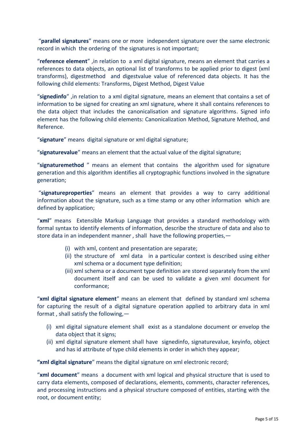"**parallel signatures**" means one or more independent signature over the same electronic record in which the ordering of the signatures is not important;

"**reference element**" ,in relation to a xml digital signature, means an element that carries a references to data objects, an optional list of transforms to be applied prior to digest (xml transforms), digestmethod and digestvalue value of referenced data objects. It has the following child elements: Transforms, Digest Method, Digest Value

"**signedinfo**" ,in relation to a xml digital signature, means an element that contains a set of information to be signed for creating an xml signature, where it shall contains references to the data object that includes the canonicalisation and signature algorithms. Signed info element has the following child elements: Canonicalization Method, Signature Method, and Reference.

"**signature**" means digital signature or xml digital signature;

"**signaturevalue**" means an element that the actual value of the digital signature;

"**signaturemethod** " means an element that contains the algorithm used for signature generation and this algorithm identifies all cryptographic functions involved in the signature generation;

"**signatureproperties**" means an element that provides a way to carry additional information about the signature, such as a time stamp or any other information which are defined by application;

"**xml**" means Extensible Markup Language that provides a standard methodology with formal syntax to identify elements of information, describe the structure of data and also to store data in an independent manner , shall have the following properties,—

- (i) with xml, content and presentation are separate;
- (ii) the structure of xml data in a particular context is described using either xml schema or a document type definition;
- (iii) xml schema or a document type definition are stored separately from the xml document itself and can be used to validate a given xml document for conformance;

"**xml digital signature element**" means an element that defined by standard xml schema for capturing the result of a digital signature operation applied to arbitrary data in xml format , shall satisfy the following,—

- (i) xml digital signature element shall exist as a standalone document or envelop the data object that it signs;
- (ii) xml digital signature element shall have signedinfo, signaturevalue, keyinfo, object and has id attribute of type child elements in order in which they appear;

**"xml digital signature**" means the digital signature on xml electronic record;

"**xml document**" means a document with xml logical and physical structure that is used to carry data elements, composed of declarations, elements, comments, character references, and processing instructions and a physical structure composed of entities, starting with the root, or document entity;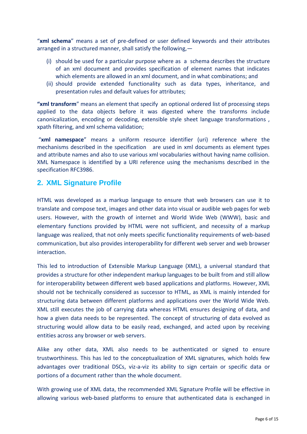"**xml schema**" means a set of pre-defined or user defined keywords and their attributes arranged in a structured manner, shall satisfy the following,—

- (i) should be used for a particular purpose where as a schema describes the structure of an xml document and provides specification of element names that indicates which elements are allowed in an xml document, and in what combinations; and
- (ii) should provide extended functionality such as data types, inheritance, and presentation rules and default values for attributes;

**"xml transform**" means an element that specify an optional ordered list of processing steps applied to the data objects before it was digested where the transforms include canonicalization, encoding or decoding, extensible style sheet language transformations , xpath filtering, and xml schema validation;

"**xml namespace**" means a uniform resource identifier (uri) reference where the mechanisms described in the specification are used in xml documents as element types and attribute names and also to use various xml vocabularies without having name collision. XML Namespace is identified by a URI reference using the mechanisms described in the specification RFC3986.

## <span id="page-5-0"></span>**2. XML Signature Profile**

HTML was developed as a markup language to ensure that web browsers can use it to translate and compose text, images and other data into visual or audible web pages for web users. However, with the growth of internet and World Wide Web (WWW), basic and elementary functions provided by HTML were not sufficient, and necessity of a markup language was realized, that not only meets specific functionality requirements of web-based communication, but also provides interoperability for different web server and web browser interaction.

This led to introduction of Extensible Markup Language (XML), a universal standard that provides a structure for other independent markup languages to be built from and still allow for interoperability between different web based applications and platforms. However, XML should not be technically considered as successor to HTML, as XML is mainly intended for structuring data between different platforms and applications over the World Wide Web. XML still executes the job of carrying data whereas HTML ensures designing of data, and how a given data needs to be represented. The concept of structuring of data evolved as structuring would allow data to be easily read, exchanged, and acted upon by receiving entities across any browser or web servers.

Alike any other data, XML also needs to be authenticated or signed to ensure trustworthiness. This has led to the conceptualization of XML signatures, which holds few advantages over traditional DSCs, viz-a-viz its ability to sign certain or specific data or portions of a document rather than the whole document.

With growing use of XML data, the recommended XML Signature Profile will be effective in allowing various web-based platforms to ensure that authenticated data is exchanged in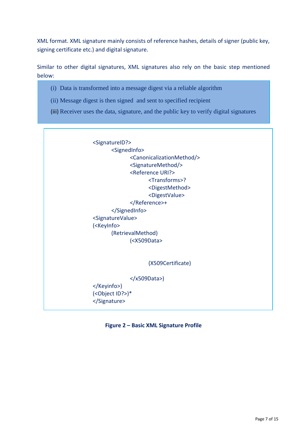XML format. XML signature mainly consists of reference hashes, details of signer (public key, signing certificate etc.) and digital signature.

Similar to other digital signatures, XML signatures also rely on the basic step mentioned below:

- (i) Data is transformed into a message digest via a reliable algorithm
- (ii) Message digest is then signed and sent to specified recipient
- (iii) Receiver uses the data, signature, and the public key to verify digital signatures



</Keyinfo>) (<Object ID?>)\* </Signature>

**Figure 2 – Basic XML Signature Profile**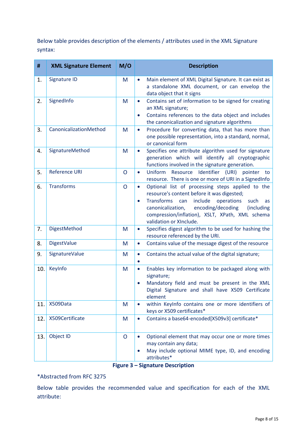Below table provides description of the elements / attributes used in the XML Signature syntax:

| #   | <b>XML Signature Element</b> | M/O          | <b>Description</b>                                                                                                                                                                                                                                                                                                                |
|-----|------------------------------|--------------|-----------------------------------------------------------------------------------------------------------------------------------------------------------------------------------------------------------------------------------------------------------------------------------------------------------------------------------|
| 1.  | Signature ID                 | M            | Main element of XML Digital Signature. It can exist as<br>$\bullet$<br>a standalone XML document, or can envelop the<br>data object that it signs                                                                                                                                                                                 |
| 2.  | SignedInfo                   | M            | Contains set of information to be signed for creating<br>$\bullet$<br>an XML signature;<br>Contains references to the data object and includes<br>$\bullet$<br>the canonicalization and signature algorithms                                                                                                                      |
| 3.  | CanonicalizationMethod       | M            | Procedure for converting data, that has more than<br>$\bullet$<br>one possible representation, into a standard, normal,<br>or canonical form                                                                                                                                                                                      |
| 4.  | SignatureMethod              | M            | Specifies one attribute algorithm used for signature<br>$\bullet$<br>generation which will identify all cryptographic<br>functions involved in the signature generation.                                                                                                                                                          |
| 5.  | <b>Reference URI</b>         | $\mathsf{O}$ | Identifier<br>Uniform<br>Resource<br>(URI)<br>pointer<br>$\bullet$<br>to<br>resource. There is one or more of URI in a SignedInfo                                                                                                                                                                                                 |
| 6.  | <b>Transforms</b>            | $\mathsf{O}$ | Optional list of processing steps applied to the<br>$\bullet$<br>resource's content before it was digested;<br><b>Transforms</b><br>include<br>can<br>operations<br>such<br>as<br>$\bullet$<br>encoding/decoding<br>(including<br>canonicalization,<br>compression/inflation), XSLT, XPath, XML schema<br>validation or XInclude. |
| 7.  | DigestMethod                 | M            | Specifies digest algorithm to be used for hashing the<br>$\bullet$<br>resource referenced by the URI.                                                                                                                                                                                                                             |
| 8.  | <b>DigestValue</b>           | M            | Contains value of the message digest of the resource<br>$\bullet$                                                                                                                                                                                                                                                                 |
| 9.  | SignatureValue               | M            | Contains the actual value of the digital signature;<br>$\bullet$                                                                                                                                                                                                                                                                  |
| 10. | KeyInfo                      | M            | Enables key information to be packaged along with<br>$\bullet$<br>signature;<br>Mandatory field and must be present in the XML<br>$\bullet$<br>Digital Signature and shall have X509 Certificate<br>element                                                                                                                       |
| 11. | X509Data                     | M            | within KeyInfo contains one or more identifiers of<br>keys or X509 certificates*                                                                                                                                                                                                                                                  |
| 12. | X509Certificate              | M            | Contains a base64-encoded[X509v3] certificate*<br>$\bullet$                                                                                                                                                                                                                                                                       |
| 13. | Object ID                    | $\mathsf{O}$ | Optional element that may occur one or more times<br>$\bullet$<br>may contain any data;<br>May include optional MIME type, ID, and encoding<br>attributes*                                                                                                                                                                        |

## **Figure 3 – Signature Description**

#### \*Abstracted from RFC 3275

Below table provides the recommended value and specification for each of the XML attribute: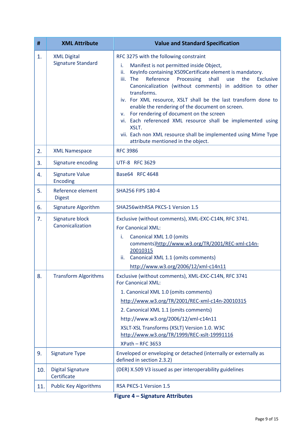| #   | <b>XML Attribute</b>                            | <b>Value and Standard Specification</b>                                                                                                                                                                                                                                                                                                                                                                                                                                                                                                                                                                                                                                  |  |  |
|-----|-------------------------------------------------|--------------------------------------------------------------------------------------------------------------------------------------------------------------------------------------------------------------------------------------------------------------------------------------------------------------------------------------------------------------------------------------------------------------------------------------------------------------------------------------------------------------------------------------------------------------------------------------------------------------------------------------------------------------------------|--|--|
| 1.  | <b>XML Digital</b><br><b>Signature Standard</b> | RFC 3275 with the following constraint<br>Manifest is not permitted inside Object,<br>i.<br>KeyInfo containing X509Certificate element is mandatory.<br>ii.<br>Reference<br>Processing<br>iii. The<br>shall<br>use<br>the<br>Exclusive<br>Canonicalization (without comments) in addition to other<br>transforms.<br>iv. For XML resource, XSLT shall be the last transform done to<br>enable the rendering of the document on screen.<br>For rendering of document on the screen<br>v.<br>vi. Each referenced XML resource shall be implemented using<br>XSLT.<br>vii. Each non XML resource shall be implemented using Mime Type<br>attribute mentioned in the object. |  |  |
| 2.  | <b>XML Namespace</b>                            | <b>RFC 3986</b>                                                                                                                                                                                                                                                                                                                                                                                                                                                                                                                                                                                                                                                          |  |  |
| 3.  | Signature encoding                              | <b>UTF-8 RFC 3629</b>                                                                                                                                                                                                                                                                                                                                                                                                                                                                                                                                                                                                                                                    |  |  |
| 4.  | <b>Signature Value</b><br>Encoding              | Base64 RFC 4648                                                                                                                                                                                                                                                                                                                                                                                                                                                                                                                                                                                                                                                          |  |  |
| 5.  | Reference element<br><b>Digest</b>              | SHA256 FIPS 180-4                                                                                                                                                                                                                                                                                                                                                                                                                                                                                                                                                                                                                                                        |  |  |
| 6.  | <b>Signature Algorithm</b>                      | SHA256withRSA PKCS-1 Version 1.5                                                                                                                                                                                                                                                                                                                                                                                                                                                                                                                                                                                                                                         |  |  |
| 7.  | Signature block<br>Canonicalization             | Exclusive (without comments), XML-EXC-C14N, RFC 3741.<br>For Canonical XML:<br>Canonical XML 1.0 (omits<br>i.<br>comments)http://www.w3.org/TR/2001/REC-xml-c14n-<br>20010315<br>Canonical XML 1.1 (omits comments)<br>ii.<br>http://www.w3.org/2006/12/xml-c14n11                                                                                                                                                                                                                                                                                                                                                                                                       |  |  |
| 8.  | <b>Transform Algorithms</b>                     | Exclusive (without comments), XML-EXC-C14N, RFC 3741<br><b>For Canonical XML:</b><br>1. Canonical XML 1.0 (omits comments)<br>http://www.w3.org/TR/2001/REC-xml-c14n-20010315<br>2. Canonical XML 1.1 (omits comments)<br>http://www.w3.org/2006/12/xml-c14n11<br>XSLT-XSL Transforms (XSLT) Version 1.0. W3C<br>http://www.w3.org/TR/1999/REC-xslt-19991116<br>$XPath - RFC 3653$                                                                                                                                                                                                                                                                                       |  |  |
| 9.  | <b>Signature Type</b>                           | Enveloped or enveloping or detached (internally or externally as<br>defined in section 2.3.2)                                                                                                                                                                                                                                                                                                                                                                                                                                                                                                                                                                            |  |  |
| 10. | <b>Digital Signature</b><br>Certificate         | (DER) X.509 V3 issued as per interoperability guidelines                                                                                                                                                                                                                                                                                                                                                                                                                                                                                                                                                                                                                 |  |  |
| 11. | <b>Public Key Algorithms</b>                    | RSA PKCS-1 Version 1.5                                                                                                                                                                                                                                                                                                                                                                                                                                                                                                                                                                                                                                                   |  |  |

**Figure 4 – Signature Attributes**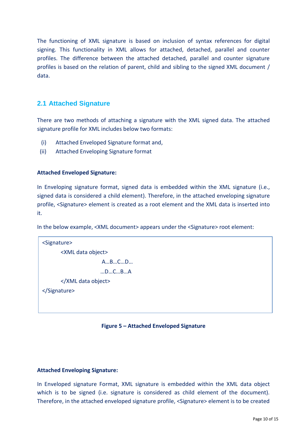The functioning of XML signature is based on inclusion of syntax references for digital signing. This functionality in XML allows for attached, detached, parallel and counter profiles. The difference between the attached detached, parallel and counter signature profiles is based on the relation of parent, child and sibling to the signed XML document / data.

## <span id="page-9-0"></span>**2.1 Attached Signature**

There are two methods of attaching a signature with the XML signed data. The attached signature profile for XML includes below two formats:

- (i) Attached Enveloped Signature format and,
- (ii) Attached Enveloping Signature format

#### **Attached Enveloped Signature:**

In Enveloping signature format, signed data is embedded within the XML signature (i.e., signed data is considered a child element). Therefore, in the attached enveloping signature profile, <Signature> element is created as a root element and the XML data is inserted into it.

In the below example, <XML document> appears under the <Signature> root element:

```
<Signature>
      <XML data object>
                     A…B…C…D…
                     …D…C…B…A
      </XML data object>
</Signature>
```
#### **Figure 5 – Attached Enveloped Signature**

#### **Attached Enveloping Signature:**

In Enveloped signature Format, XML signature is embedded within the XML data object which is to be signed (i.e. signature is considered as child element of the document). Therefore, in the attached enveloped signature profile, <Signature> element is to be created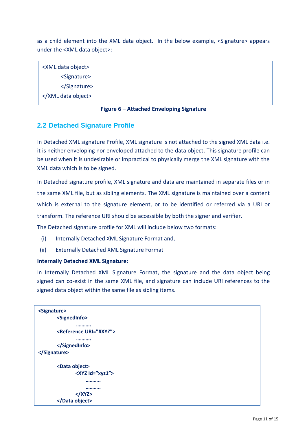as a child element into the XML data object. In the below example, <Signature> appears under the <XML data object>:

<XML data object> <Signature> </Signature> </XML data object>

#### **Figure 6 – Attached Enveloping Signature**

## <span id="page-10-0"></span>**2.2 Detached Signature Profile**

In Detached XML signature Profile, XML signature is not attached to the signed XML data i.e. it is neither enveloping nor enveloped attached to the data object. This signature profile can be used when it is undesirable or impractical to physically merge the XML signature with the XML data which is to be signed.

In Detached signature profile, XML signature and data are maintained in separate files or in the same XML file, but as sibling elements. The XML signature is maintained over a content which is external to the signature element, or to be identified or referred via a URI or transform. The reference URI should be accessible by both the signer and verifier.

The Detached signature profile for XML will include below two formats:

- (i) Internally Detached XML Signature Format and,
- (ii) Externally Detached XML Signature Format

#### **Internally Detached XML Signature:**

In Internally Detached XML Signature Format, the signature and the data object being signed can co-exist in the same XML file, and signature can include URI references to the signed data object within the same file as sibling items.

```
<Signature>
       <SignedInfo>
                ……….. 
       <Reference URI="#XYZ">
                ……….. 
       </SignedInfo>
</Signature>
       <Data object>
               <XYZ Id="xyz1">
                    ………..
                    ………..
               </XYZ>
       </Data object>
```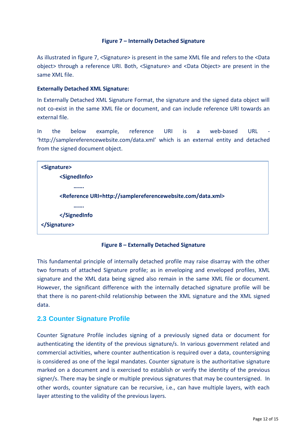#### **Figure 7 – Internally Detached Signature**

As illustrated in figure 7, <Signature> is present in the same XML file and refers to the <Data object> through a reference URI. Both, <Signature> and <Data Object> are present in the same XML file.

#### **Externally Detached XML Signature:**

In Externally Detached XML Signature Format, the signature and the signed data object will not co-exist in the same XML file or document, and can include reference URI towards an external file.

In the below example, reference URI is a web-based URL - 'http://samplereferencewebsite.com/data.xml' which is an external entity and detached from the signed document object.



**Figure 8 – Externally Detached Signature** 

This fundamental principle of internally detached profile may raise disarray with the other two formats of attached Signature profile; as in enveloping and enveloped profiles, XML signature and the XML data being signed also remain in the same XML file or document. However, the significant difference with the internally detached signature profile will be that there is no parent-child relationship between the XML signature and the XML signed data.

## <span id="page-11-0"></span>**2.3 Counter Signature Profile**

Counter Signature Profile includes signing of a previously signed data or document for authenticating the identity of the previous signature/s. In various government related and commercial activities, where counter authentication is required over a data, countersigning is considered as one of the legal mandates. Counter signature is the authoritative signature marked on a document and is exercised to establish or verify the identity of the previous signer/s. There may be single or multiple previous signatures that may be countersigned. In other words, counter signature can be recursive, i.e., can have multiple layers, with each layer attesting to the validity of the previous layers.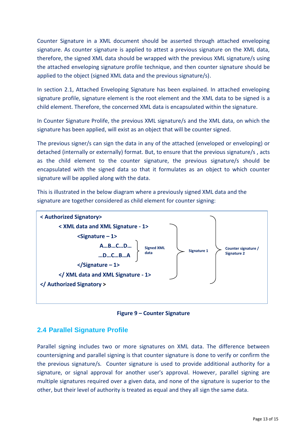Counter Signature in a XML document should be asserted through attached enveloping signature. As counter signature is applied to attest a previous signature on the XML data, therefore, the signed XML data should be wrapped with the previous XML signature/s using the attached enveloping signature profile technique, and then counter signature should be applied to the object (signed XML data and the previous signature/s).

In section [2.1,](#page-9-0) Attached Enveloping Signature has been explained. In attached enveloping signature profile, signature element is the root element and the XML data to be signed is a child element. Therefore, the concerned XML data is encapsulated within the signature.

In Counter Signature Prolife, the previous XML signature/s and the XML data, on which the signature has been applied, will exist as an object that will be counter signed.

The previous signer/s can sign the data in any of the attached (enveloped or enveloping) or detached (internally or externally) format. But, to ensure that the previous signature/s , acts as the child element to the counter signature, the previous signature/s should be encapsulated with the signed data so that it formulates as an object to which counter signature will be applied along with the data.

This is illustrated in the below diagram where a previously signed XML data and the signature are together considered as child element for counter signing:



**Figure 9 – Counter Signature** 

## <span id="page-12-0"></span>**2.4 Parallel Signature Profile**

Parallel signing includes two or more signatures on XML data. The difference between countersigning and parallel signing is that counter signature is done to verify or confirm the the previous signature/s. Counter signature is used to provide additional authority for a signature, or signal approval for another user's approval. However, parallel signing are multiple signatures required over a given data, and none of the signature is superior to the other, but their level of authority is treated as equal and they all sign the same data.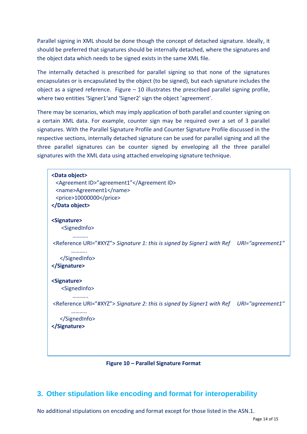Parallel signing in XML should be done though the concept of detached signature. Ideally, it should be preferred that signatures should be internally detached, where the signatures and the object data which needs to be signed exists in the same XML file.

The internally detached is prescribed for parallel signing so that none of the signatures encapsulates or is encapsulated by the object (to be signed), but each signature includes the object as a signed reference. Figure  $-10$  illustrates the prescribed parallel signing profile, where two entities 'Signer1'and 'Signer2' sign the object 'agreement'.

There may be scenarios, which may imply application of both parallel and counter signing on a certain XML data. For example, counter sign may be required over a set of 3 parallel signatures. With the Parallel Signature Profile and Counter Signature Profile discussed in the respective sections, internally detached signature can be used for parallel signing and all the three parallel signatures can be counter signed by enveloping all the three parallel signatures with the XML data using attached enveloping signature technique.

| <data object=""><br/><agreement id="">"agreement1"</agreement><br/><name>Agreement1</name><br/><price>10000000</price><br/></data>                            |  |
|---------------------------------------------------------------------------------------------------------------------------------------------------------------|--|
| <signature><br/><signedinfo><br/><reference uri="#XYZ"> Signature 1: this is signed by Signer1 with Ref URI="agreement1"</reference></signedinfo></signature> |  |
| <br>                                                                                                                                                          |  |
| <signature><br/><signedinfo></signedinfo></signature>                                                                                                         |  |
| <reference uri="#XYZ"> Signature 2: this is signed by Signer1 with Ref URI="agreement1"<br/><br/></reference>                                                 |  |
|                                                                                                                                                               |  |

**Figure 10 – Parallel Signature Format** 

# <span id="page-13-0"></span>**3. Other stipulation like encoding and format for interoperability**

No additional stipulations on encoding and format except for those listed in the ASN.1.